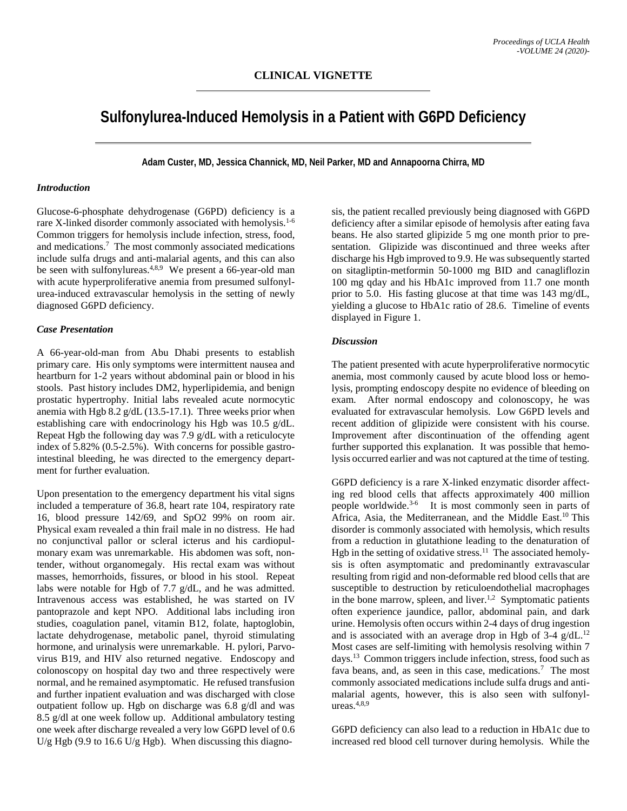# **Sulfonylurea-Induced Hemolysis in a Patient with G6PD Deficiency**

**Adam Custer, MD, Jessica Channick, MD, Neil Parker, MD and Annapoorna Chirra, MD**

#### *Introduction*

Glucose-6-phosphate dehydrogenase (G6PD) deficiency is a rare X-linked disorder commonly associated with hemolysis.<sup>1-6</sup> Common triggers for hemolysis include infection, stress, food, and medications.<sup>7</sup> The most commonly associated medications include sulfa drugs and anti-malarial agents, and this can also be seen with sulfonylureas.<sup>4,8,9</sup> We present a 66-year-old man with acute hyperproliferative anemia from presumed sulfonylurea-induced extravascular hemolysis in the setting of newly diagnosed G6PD deficiency.

# *Case Presentation*

A 66-year-old-man from Abu Dhabi presents to establish primary care. His only symptoms were intermittent nausea and heartburn for 1-2 years without abdominal pain or blood in his stools. Past history includes DM2, hyperlipidemia, and benign prostatic hypertrophy. Initial labs revealed acute normocytic anemia with Hgb 8.2 g/dL (13.5-17.1). Three weeks prior when establishing care with endocrinology his Hgb was 10.5 g/dL. Repeat Hgb the following day was 7.9 g/dL with a reticulocyte index of 5.82% (0.5-2.5%). With concerns for possible gastrointestinal bleeding, he was directed to the emergency department for further evaluation.

Upon presentation to the emergency department his vital signs included a temperature of 36.8, heart rate 104, respiratory rate 16, blood pressure 142/69, and SpO2 99% on room air. Physical exam revealed a thin frail male in no distress. He had no conjunctival pallor or scleral icterus and his cardiopulmonary exam was unremarkable. His abdomen was soft, nontender, without organomegaly. His rectal exam was without masses, hemorrhoids, fissures, or blood in his stool. Repeat labs were notable for Hgb of 7.7 g/dL, and he was admitted. Intravenous access was established, he was started on IV pantoprazole and kept NPO. Additional labs including iron studies, coagulation panel, vitamin B12, folate, haptoglobin, lactate dehydrogenase, metabolic panel, thyroid stimulating hormone, and urinalysis were unremarkable. H. pylori, Parvovirus B19, and HIV also returned negative. Endoscopy and colonoscopy on hospital day two and three respectively were normal, and he remained asymptomatic. He refused transfusion and further inpatient evaluation and was discharged with close outpatient follow up. Hgb on discharge was 6.8 g/dl and was 8.5 g/dl at one week follow up. Additional ambulatory testing one week after discharge revealed a very low G6PD level of 0.6 U/g Hgb (9.9 to 16.6 U/g Hgb). When discussing this diagno-

sis, the patient recalled previously being diagnosed with G6PD deficiency after a similar episode of hemolysis after eating fava beans. He also started glipizide 5 mg one month prior to presentation. Glipizide was discontinued and three weeks after discharge his Hgb improved to 9.9. He was subsequently started on sitagliptin-metformin 50-1000 mg BID and canagliflozin 100 mg qday and his HbA1c improved from 11.7 one month prior to 5.0. His fasting glucose at that time was 143 mg/dL, yielding a glucose to HbA1c ratio of 28.6. Timeline of events displayed in Figure 1.

# *Discussion*

The patient presented with acute hyperproliferative normocytic anemia, most commonly caused by acute blood loss or hemolysis, prompting endoscopy despite no evidence of bleeding on exam. After normal endoscopy and colonoscopy, he was evaluated for extravascular hemolysis. Low G6PD levels and recent addition of glipizide were consistent with his course. Improvement after discontinuation of the offending agent further supported this explanation. It was possible that hemolysis occurred earlier and was not captured at the time of testing.

G6PD deficiency is a rare X-linked enzymatic disorder affecting red blood cells that affects approximately 400 million people worldwide.<sup>3-6</sup> It is most commonly seen in parts of Africa, Asia, the Mediterranean, and the Middle East.<sup>10</sup> This disorder is commonly associated with hemolysis, which results from a reduction in glutathione leading to the denaturation of Hgb in the setting of oxidative stress.<sup>11</sup> The associated hemolysis is often asymptomatic and predominantly extravascular resulting from rigid and non-deformable red blood cells that are susceptible to destruction by reticuloendothelial macrophages in the bone marrow, spleen, and liver.<sup>1,2</sup> Symptomatic patients often experience jaundice, pallor, abdominal pain, and dark urine. Hemolysis often occurs within 2-4 days of drug ingestion and is associated with an average drop in Hgb of  $3-4$  g/dL.<sup>12</sup> Most cases are self-limiting with hemolysis resolving within 7 days.13 Common triggers include infection, stress, food such as fava beans, and, as seen in this case, medications.<sup>7</sup> The most commonly associated medications include sulfa drugs and antimalarial agents, however, this is also seen with sulfonyl $ures.<sup>4,8,9</sup>$ 

G6PD deficiency can also lead to a reduction in HbA1c due to increased red blood cell turnover during hemolysis. While the